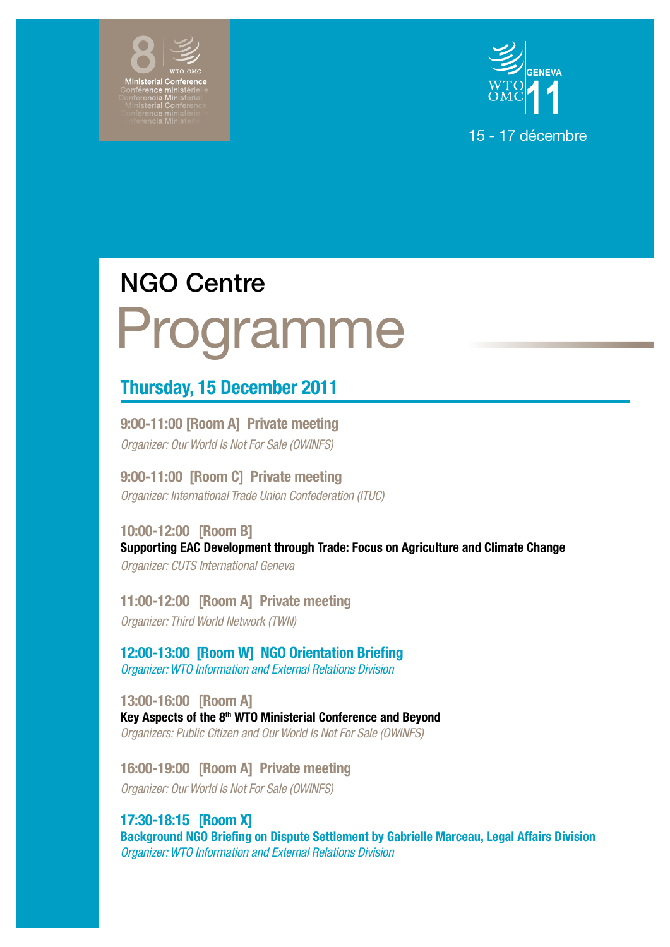



# Programme NGO Centre

# Thursday, 15 December 2011

9:00-11:00 [Room A] Private meeting *Organizer: Our World Is Not For Sale (OWINFS)*

9:00-11:00 [Room C] Private meeting *Organizer: International Trade Union Confederation (ITUC)*

10:00-12:00 [Room B] Supporting EAC Development through Trade: Focus on Agriculture and Climate Change *Organizer: CUTS International Geneva*

11:00-12:00 [Room A] Private meeting *Organizer: Third World Network (TWN)*

12:00-13:00 [Room W] NGO Orientation Briefing *Organizer: WTO Information and External Relations Division*

13:00-16:00 [Room A] Key Aspects of the 8<sup>th</sup> WTO Ministerial Conference and Beyond *Organizers: Public Citizen and Our World Is Not For Sale (OWINFS)*

16:00-19:00 [Room A] Private meeting *Organizer: Our World Is Not For Sale (OWINFS)*

# 17:30-18:15 [Room X]

Background NGO Briefing on Dispute Settlement by Gabrielle Marceau, Legal Affairs Division *Organizer: WTO Information and External Relations Division*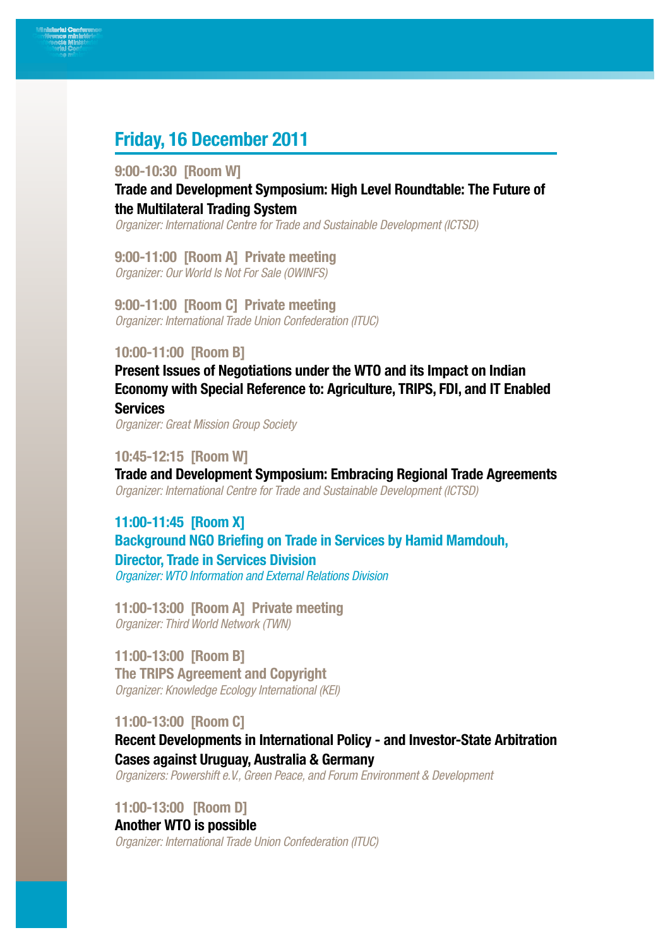# Friday, 16 December 2011

#### 9:00-10:30 [Room W]

Trade and Development Symposium: High Level Roundtable: The Future of the Multilateral Trading System

*Organizer: International Centre for Trade and Sustainable Development (ICTSD)*

9:00-11:00 [Room A] Private meeting *Organizer: Our World Is Not For Sale (OWINFS)*

9:00-11:00 [Room C] Private meeting *Organizer: International Trade Union Confederation (ITUC)*

#### 10:00-11:00 [Room B]

Present Issues of Negotiations under the WTO and its Impact on Indian Economy with Special Reference to: Agriculture, TRIPS, FDI, and IT Enabled **Services** 

*Organizer: Great Mission Group Society*

#### 10:45-12:15 [Room W]

Trade and Development Symposium: Embracing Regional Trade Agreements *Organizer: International Centre for Trade and Sustainable Development (ICTSD)*

# 11:00-11:45 [Room X] Background NGO Briefing on Trade in Services by Hamid Mamdouh, Director, Trade in Services Division *Organizer: WTO Information and External Relations Division*

11:00-13:00 [Room A] Private meeting *Organizer: Third World Network (TWN)*

11:00-13:00 [Room B] The TRIPS Agreement and Copyright *Organizer: Knowledge Ecology International (KEI)*

11:00-13:00 [Room C]

Recent Developments in International Policy - and Investor-State Arbitration Cases against Uruguay, Australia & Germany

*Organizers: Powershift e.V., Green Peace, and Forum Environment & Development*

11:00-13:00 [Room D]

## Another WTO is possible

*Organizer: International Trade Union Confederation (ITUC)*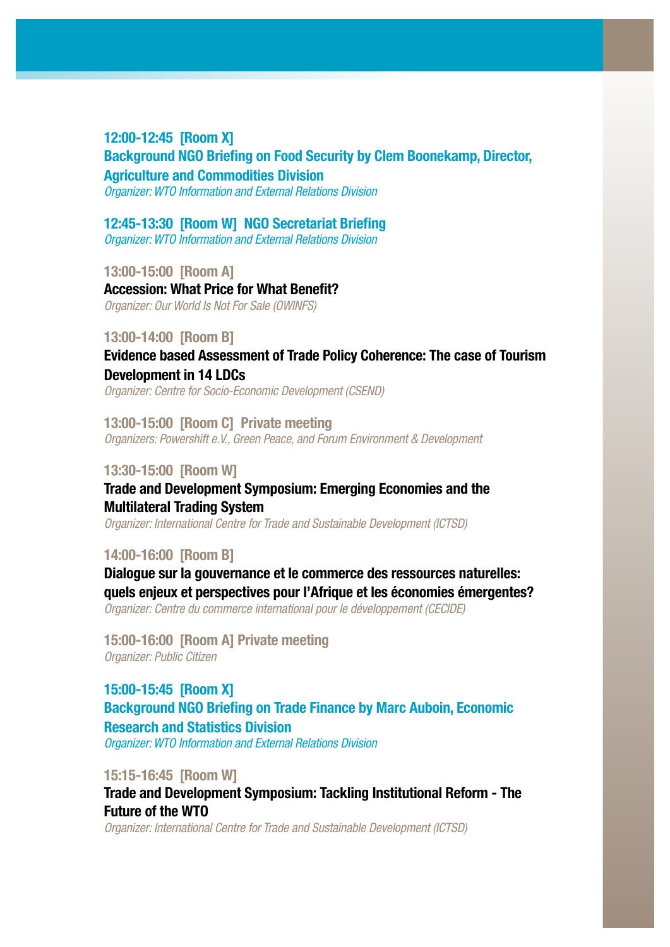## 12:00-12:45 [Room X]

Background NGO Briefing on Food Security by Clem Boonekamp, Director, Agriculture and Commodities Division

*Organizer: WTO Information and External Relations Division*

#### 12:45-13:30 [Room W] NGO Secretariat Briefing

*Organizer: WTO Information and External Relations Division*

13:00-15:00 [Room A] Accession: What Price for What Benefit? *Organizer: Our World Is Not For Sale (OWINFS)*

#### 13:00-14:00 [Room B]

Evidence based Assessment of Trade Policy Coherence: The case of Tourism Development in 14 LDCs

*Organizer: Centre for Socio-Economic Development (CSEND)*

13:00-15:00 [Room C] Private meeting *Organizers: Powershift e.V., Green Peace, and Forum Environment & Development*

#### 13:30-15:00 [Room W]

## Trade and Development Symposium: Emerging Economies and the Multilateral Trading System

*Organizer: International Centre for Trade and Sustainable Development (ICTSD)*

#### 14:00-16:00 [Room B]

Dialogue sur la gouvernance et le commerce des ressources naturelles: quels enjeux et perspectives pour l'Afrique et les économies émergentes? *Organizer: Centre du commerce international pour le développement (CECIDE)*

15:00-16:00 [Room A] Private meeting *Organizer: Public Citizen*

15:00-15:45 [Room X] Background NGO Briefing on Trade Finance by Marc Auboin, Economic Research and Statistics Division *Organizer: WTO Information and External Relations Division*

15:15-16:45 [Room W]

Trade and Development Symposium: Tackling Institutional Reform - The Future of the WTO

*Organizer: International Centre for Trade and Sustainable Development (ICTSD)*